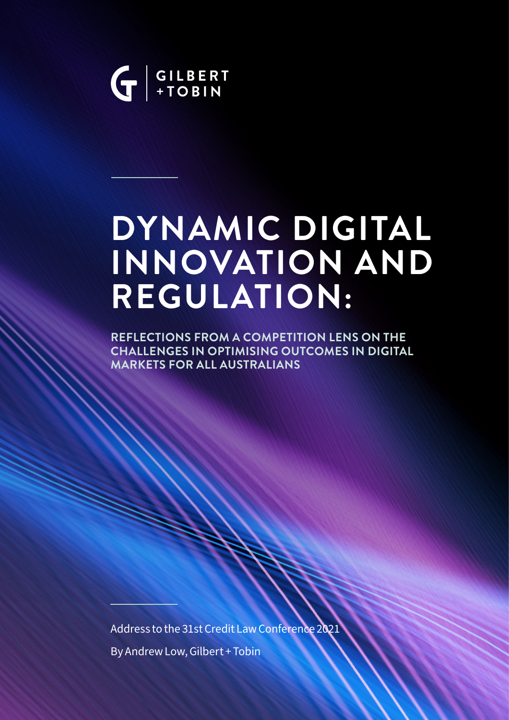

# **DYNAMIC DIGITAL INNOVATION AND REGULATION:**

**REFLECTIONS FROM A COMPETITION LENS ON THE CHALLENGES IN OPTIMISING OUTCOMES IN DIGITAL MARKETS FOR ALL AUSTRALIANS**

Address to the 31st Credit Law Conference 2021 By Andrew Low, Gilbert + Tobin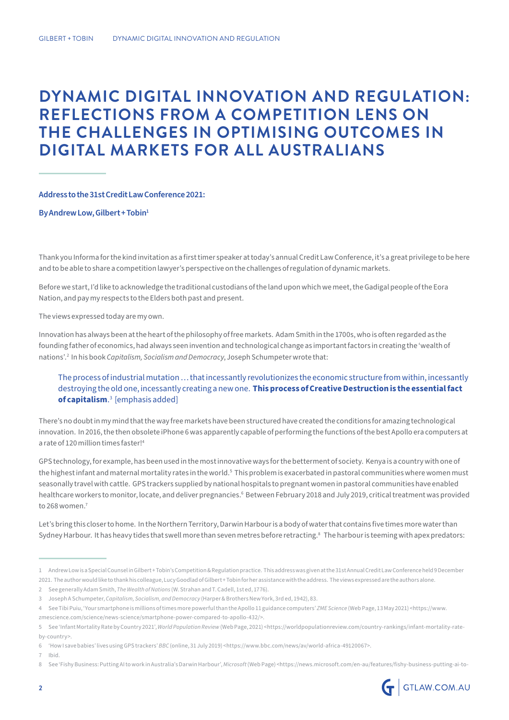## **DYNAMIC DIGITAL INNOVATION AND REGULATION: REFLECTIONS FROM A COMPETITION LENS ON THE CHALLENGES IN OPTIMISING OUTCOMES IN DIGITAL MARKETS FOR ALL AUSTRALIANS**

**Address to the 31st Credit Law Conference 2021:** 

**By Andrew Low, Gilbert + Tobin1**

Thank you Informa for the kind invitation as a first timer speaker at today's annual Credit Law Conference, it's a great privilege to be here and to be able to share a competition lawyer's perspective on the challenges of regulation of dynamic markets.

Before we start, I'd like to acknowledge the traditional custodians of the land upon which we meet, the Gadigal people of the Eora Nation, and pay my respects to the Elders both past and present.

The views expressed today are my own.

Innovation has always been at the heart of the philosophy of free markets. Adam Smith in the 1700s, who is often regarded as the founding father of economics, had always seen invention and technological change as important factors in creating the 'wealth of nations'.2 In his book *Capitalism, Socialism and Democracy*, Joseph Schumpeter wrote that:

The process of industrial mutation … that incessantly revolutionizes the economic structure from within, incessantly destroying the old one, incessantly creating a new one. **This process of Creative Destruction is the essential fact of capitalism**. 3 [emphasis added]

There's no doubt in my mind that the way free markets have been structured have created the conditions for amazing technological innovation. In 2016, the then obsolete iPhone 6 was apparently capable of performing the functions of the best Apollo era computers at a rate of 120 million times faster!4

GPS technology, for example, has been used in the most innovative ways for the betterment of society. Kenya is a country with one of the highest infant and maternal mortality rates in the world.<sup>5</sup> This problem is exacerbated in pastoral communities where women must seasonally travel with cattle. GPS trackers supplied by national hospitals to pregnant women in pastoral communities have enabled healthcare workers to monitor, locate, and deliver pregnancies.6 Between February 2018 and July 2019, critical treatment was provided to 268 women. $7$ 

Let's bring this closer to home. In the Northern Territory, Darwin Harbour is a body of water that contains five times more water than Sydney Harbour. It has heavy tides that swell more than seven metres before retracting.<sup>8</sup> The harbour is teeming with apex predators:

7 Ibid.

<sup>8</sup> See 'Fishy Business: Putting AI to work in Australia's Darwin Harbour', *Microsoft* (Web Page) <https://news.microsoft.com/en-au/features/fishy-business-putting-ai-to-



<sup>1</sup> Andrew Low is a Special Counsel in Gilbert + Tobin's Competition & Regulation practice. This address was given at the 31st Annual Credit Law Conference held 9 December 2021. The author would like to thank his colleague, Lucy Goodlad of Gilbert + Tobin for her assistance with the address. The views expressed are the authors alone.

<sup>2</sup> See generally Adam Smith, *The Wealth of Nations* (W. Strahan and T. Cadell, 1st ed, 1776).

<sup>3</sup> Joseph A Schumpeter, *Capitalism, Socialism, and Democracy* (Harper & Brothers New York, 3rd ed, 1942), 83.

<sup>4</sup> See Tibi Puiu, 'Your smartphone is millions of times more powerful than the Apollo 11 guidance computers' *ZME Science* (Web Page, 13 May 2021) <https://www. zmescience.com/science/news-science/smartphone-power-compared-to-apollo-432/>.

<sup>5</sup> See 'Infant Mortality Rate by Country 2021', *World Population Review* (Web Page, 2021) <https://worldpopulationreview.com/country-rankings/infant-mortality-rateby-country>.

<sup>6</sup> 'How I save babies' lives using GPS trackers' *BBC* (online, 31 July 2019) <https://www.bbc.com/news/av/world-africa-49120067>.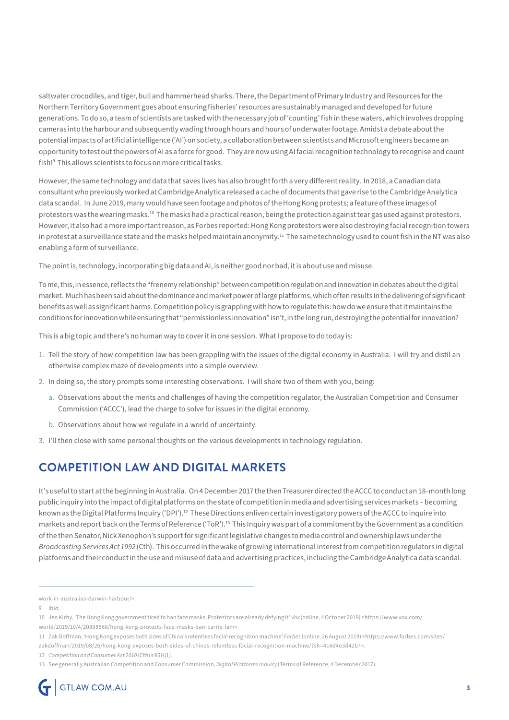saltwater crocodiles, and tiger, bull and hammerhead sharks. There, the Department of Primary Industry and Resources for the Northern Territory Government goes about ensuring fisheries' resources are sustainably managed and developed for future generations. To do so, a team of scientists are tasked with the necessary job of 'counting' fish in these waters, which involves dropping cameras into the harbour and subsequently wading through hours and hours of underwater footage. Amidst a debate about the potential impacts of artificial intelligence ('AI') on society, a collaboration between scientists and Microsoft engineers became an opportunity to test out the powers of AI as a force for good. They are now using AI facial recognition technology to recognise and count fish!9 This allows scientists to focus on more critical tasks.

However, the same technology and data that saves lives has also brought forth a very different reality. In 2018, a Canadian data consultant who previously worked at Cambridge Analytica released a cache of documents that gave rise to the Cambridge Analytica data scandal. In June 2019, many would have seen footage and photos of the Hong Kong protests; a feature of these images of protestors was the wearing masks.<sup>10</sup> The masks had a practical reason, being the protection against tear gas used against protestors. However, it also had a more important reason, as Forbes reported: Hong Kong protestors were also destroying facial recognition towers in protest at a surveillance state and the masks helped maintain anonymity.<sup>11</sup> The same technology used to count fish in the NT was also enabling a form of surveillance.

The point is, technology, incorporating big data and AI, is neither good nor bad, it is about use and misuse.

To me, this, in essence, reflects the "frenemy relationship" between competition regulation and innovation in debates about the digital market. Much has been said about the dominance and market power of large platforms, which often results in the delivering of significant benefits as well as significant harms. Competition policy is grappling with how to regulate this: how do we ensure that it maintains the conditions for innovation while ensuring that "permissionless innovation" isn't, in the long run, destroying the potential for innovation?

This is a big topic and there's no human way to cover it in one session. What I propose to do today is:

- 1. Tell the story of how competition law has been grappling with the issues of the digital economy in Australia. I will try and distil an otherwise complex maze of developments into a simple overview.
- 2. In doing so, the story prompts some interesting observations. I will share two of them with you, being:
	- a. Observations about the merits and challenges of having the competition regulator, the Australian Competition and Consumer Commission ('ACCC'), lead the charge to solve for issues in the digital economy.
	- b. Observations about how we regulate in a world of uncertainty.
- 3. I'll then close with some personal thoughts on the various developments in technology regulation.

## **COMPETITION LAW AND DIGITAL MARKETS**

It's useful to start at the beginning in Australia. On 4 December 2017 the then Treasurer directed the ACCC to conduct an 18-month long public inquiry into the impact of digital platforms on the state of competition in media and advertising services markets – becoming known as the Digital Platforms Inquiry ('DPI').<sup>12</sup> These Directions enliven certain investigatory powers of the ACCC to inquire into markets and report back on the Terms of Reference ('ToR').13 This Inquiry was part of a commitment by the Government as a condition of the then Senator, Nick Xenophon's support for significant legislative changes to media control and ownership laws under the *Broadcasting Services Act 1992* (Cth). This occurred in the wake of growing international interest from competition regulators in digital platforms and their conduct in the use and misuse of data and advertising practices, including the Cambridge Analytica data scandal.

zakdoffman/2019/08/26/hong-kong-exposes-both-sides-of-chinas-relentless-facial-recognition-machine/?sh=4c4d4e3d42b7>.

work-in-australias-darwin-harbour/>.

<sup>9</sup> Ibid.

<sup>10</sup> Jen Kirby, 'The Hong Kong government tired to ban face masks. Protestors are already defying it' *Vox* (online, 4 October 2019) <https://www.vox.com/

world/2019/10/4/20898568/hong-kong-protests-face-masks-ban-carrie-lam>.

<sup>11</sup> Zak Doffman, 'Hong Kong exposes both sides of China's relentless facial recognition machine' *Forbes* (online, 26 August 2019) <https://www.forbes.com/sites/

<sup>12</sup> *Competition and Consumer Act 2010* (Cth) s 95H(1).

<sup>13</sup> See generally Australian Competition and Consumer Commission, *Digital Platforms Inquiry* (Terms of Reference, 4 December 2017).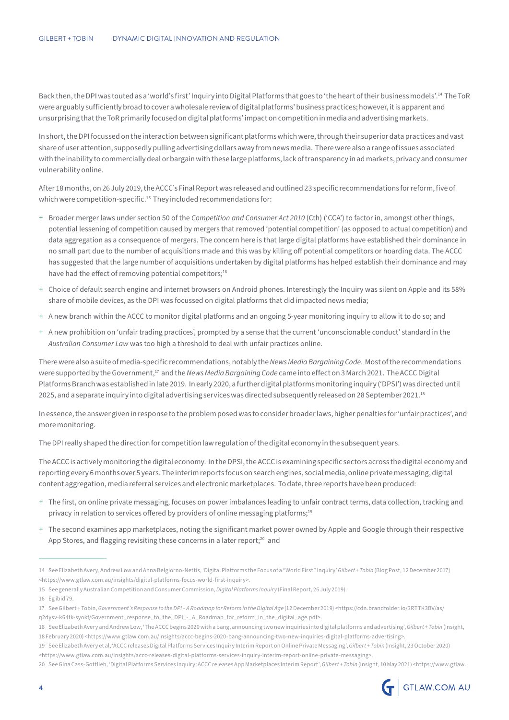Back then, the DPI was touted as a 'world's first' Inquiry into Digital Platforms that goes to 'the heart of their business models'.14 The ToR were arguably sufficiently broad to cover a wholesale review of digital platforms' business practices; however, it is apparent and unsurprising that the ToR primarily focused on digital platforms' impact on competition in media and advertising markets.

In short, the DPI focussed on the interaction between significant platforms which were, through their superior data practices and vast share of user attention, supposedly pulling advertising dollars away from news media. There were also a range of issues associated with the inability to commercially deal or bargain with these large platforms, lack of transparency in ad markets, privacy and consumer vulnerability online.

After 18 months, on 26 July 2019, the ACCC's Final Report was released and outlined 23 specific recommendations for reform, five of which were competition-specific.<sup>15</sup> They included recommendations for:

- + Broader merger laws under section 50 of the *Competition and Consumer Act 2010* (Cth) ('CCA') to factor in, amongst other things, potential lessening of competition caused by mergers that removed 'potential competition' (as opposed to actual competition) and data aggregation as a consequence of mergers. The concern here is that large digital platforms have established their dominance in no small part due to the number of acquisitions made and this was by killing off potential competitors or hoarding data. The ACCC has suggested that the large number of acquisitions undertaken by digital platforms has helped establish their dominance and may have had the effect of removing potential competitors;<sup>16</sup>
- + Choice of default search engine and internet browsers on Android phones. Interestingly the Inquiry was silent on Apple and its 58% share of mobile devices, as the DPI was focussed on digital platforms that did impacted news media;
- + A new branch within the ACCC to monitor digital platforms and an ongoing 5-year monitoring inquiry to allow it to do so; and
- + A new prohibition on 'unfair trading practices', prompted by a sense that the current 'unconscionable conduct' standard in the *Australian Consumer Law* was too high a threshold to deal with unfair practices online.

There were also a suite of media-specific recommendations, notably the *News Media Bargaining Code*. Most of the recommendations were supported by the Government,17 and the *News Media Bargaining Code* came into effect on 3 March 2021. The ACCC Digital Platforms Branch was established in late 2019. In early 2020, a further digital platforms monitoring inquiry ('DPSI') was directed until 2025, and a separate inquiry into digital advertising services was directed subsequently released on 28 September 2021.<sup>18</sup>

In essence, the answer given in response to the problem posed was to consider broader laws, higher penalties for 'unfair practices', and more monitoring.

The DPI really shaped the direction for competition law regulation of the digital economy in the subsequent years.

The ACCC is actively monitoring the digital economy. In the DPSI, the ACCC is examining specific sectors across the digital economy and reporting every 6 months over 5 years. The interim reports focus on search engines, social media, online private messaging, digital content aggregation, media referral services and electronic marketplaces. To date, three reports have been produced:

- + The first, on online private messaging, focuses on power imbalances leading to unfair contract terms, data collection, tracking and privacy in relation to services offered by providers of online messaging platforms;<sup>19</sup>
- + The second examines app marketplaces, noting the significant market power owned by Apple and Google through their respective App Stores, and flagging revisiting these concerns in a later report;<sup>20</sup> and

15 See generally Australian Competition and Consumer Commission, *Digital Platforms Inquiry* (Final Report, 26 July 2019).

<sup>20</sup> See Gina Cass-Gottlieb, 'Digital Platforms Services Inquiry: ACCC releases App Marketplaces Interim Report', *Gilbert + Tobin* (Insight, 10 May 2021) <https://www.gtlaw.



<sup>14</sup> See Elizabeth Avery, Andrew Low and Anna Belgiorno-Nettis, 'Digital Platforms the Focus of a "World First" Inquiry' *Gilbert + Tobin* (Blog Post, 12 December 2017) <https://www.gtlaw.com.au/insights/digital-platforms-focus-world-first-inquiry>.

<sup>16</sup> Eg ibid 79.

<sup>17</sup> See Gilbert + Tobin, *Government's Response to the DPI – A Roadmap for Reform in the Digital Age* (12 December 2019) <https://cdn.brandfolder.io/3RTTK3BV/as/ q2dysv-k64fk-syokf/Government\_response\_to\_the\_DPI\_-\_A\_Roadmap\_for\_reform\_in\_the\_digital\_age.pdf>.

<sup>18</sup> See Elizabeth Avery and Andrew Low, 'The ACCC begins 2020 with a bang, announcing two new inquiries into digital platforms and advertising', *Gilbert + Tobin* (Insight, 18 February 2020) <https://www.gtlaw.com.au/insights/accc-begins-2020-bang-announcing-two-new-inquiries-digital-platforms-advertising>.

<sup>19</sup> See Elizabeth Avery et al, 'ACCC releases Digital Platforms Services Inquiry Interim Report on Online Private Messaging', *Gilbert + Tobin* (Insight, 23 October 2020) <https://www.gtlaw.com.au/insights/accc-releases-digital-platforms-services-inquiry-interim-report-online-private-messaging>.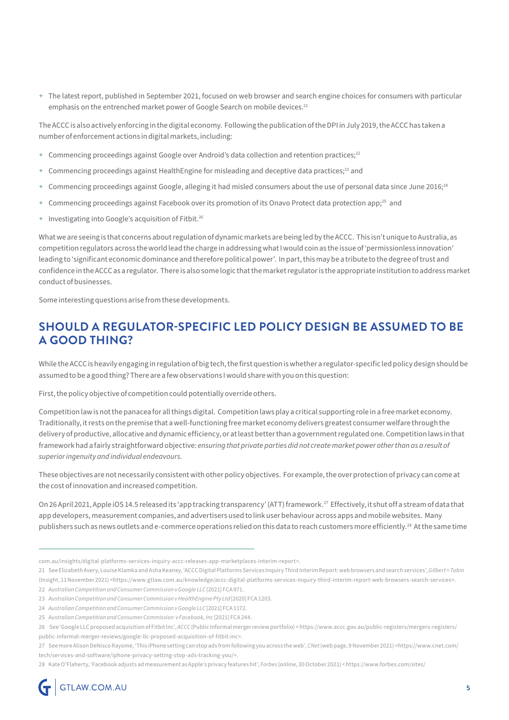+ The latest report, published in September 2021, focused on web browser and search engine choices for consumers with particular emphasis on the entrenched market power of Google Search on mobile devices.<sup>21</sup>

The ACCC is also actively enforcing in the digital economy. Following the publication of the DPI in July 2019, the ACCC has taken a number of enforcement actions in digital markets, including:

- + Commencing proceedings against Google over Android's data collection and retention practices;<sup>22</sup>
- Commencing proceedings against HealthEngine for misleading and deceptive data practices;<sup>23</sup> and
- Commencing proceedings against Google, alleging it had misled consumers about the use of personal data since June 2016;<sup>24</sup>
- + Commencing proceedings against Facebook over its promotion of its Onavo Protect data protection app;25 and
- + Investigating into Google's acquisition of Fitbit.26

What we are seeing is that concerns about regulation of dynamic markets are being led by the ACCC. This isn't unique to Australia, as competition regulators across the world lead the charge in addressing what I would coin as the issue of 'permissionless innovation' leading to 'significant economic dominance and therefore political power'. In part, this may be a tribute to the degree of trust and confidence in the ACCC as a regulator. There is also some logic that the market regulator is the appropriate institution to address market conduct of businesses.

Some interesting questions arise from these developments.

## **SHOULD A REGULATOR-SPECIFIC LED POLICY DESIGN BE ASSUMED TO BE A GOOD THING?**

While the ACCC is heavily engaging in regulation of big tech, the first question is whether a regulator-specific led policy design should be assumed to be a good thing? There are a few observations I would share with you on this question:

First, the policy objective of competition could potentially override others.

Competition law is not the panacea for all things digital. Competition laws play a critical supporting role in a free market economy. Traditionally, it rests on the premise that a well-functioning free market economy delivers greatest consumer welfare through the delivery of productive, allocative and dynamic efficiency, or at least better than a government regulated one. Competition laws in that framework had a fairly straightforward objective: *ensuring that private parties did not create market power other than as a result of superior ingenuity and individual endeavours.* 

These objectives are not necessarily consistent with other policy objectives. For example, the over protection of privacy can come at the cost of innovation and increased competition.

On 26 April 2021, Apple iOS 14.5 released its 'app tracking transparency' (ATT) framework.27 Effectively, it shut off a stream of data that app developers, measurement companies, and advertisers used to link user behaviour across apps and mobile websites. Many publishers such as news outlets and e-commerce operations relied on this data to reach customers more efficiently.<sup>28</sup> At the same time

com.au/insights/digital-platforms-services-inquiry-accc-releases-app-marketplaces-interim-report>.

<sup>21</sup> See Elizabeth Avery, Louise Klamka and Asha Keaney, 'ACCC Digital Platforms Services Inquiry Third Interim Report: web browsers and search services', *Gilbert + Tobin* 

<sup>(</sup>Insight, 11 November 2021) <https://www.gtlaw.com.au/knowledge/accc-digital-platforms-services-inquiry-third-interim-report-web-browsers-search-services>.

<sup>22</sup> *Australian Competition and Consumer Commission v Google LLC* [2021] FCA 971.

<sup>23</sup> *Australian Competition and Consumer Commission v HealthEngine Pty Ltd* [2020] FCA 1203.

<sup>24</sup> *Australian Competition and Consumer Commission v Google LLC* [2021] FCA 1172.

<sup>25</sup> *Australian Competition and Consumer Commission v Facebook, Inc* [2021] FCA 244.

<sup>26</sup> See 'Google LLC proposed acquisition of Fitbit Inc', *ACCC* (Public Informal merger review portfolio) < https://www.accc.gov.au/public-registers/mergers-registers/ public-informal-merger-reviews/google-llc-proposed-acquisition-of-fitbit-inc>.

<sup>27</sup> See more Alison DeNisco Rayome, 'This iPhone setting can stop ads from following you across the web', *CNet* (web page, 9 November 2021) <https://www.cnet.com/ tech/services-and-software/iphone-privacy-setting-stop-ads-tracking-you/>.

<sup>28</sup> Kate O'Flaherty, 'Facebook adjusts ad measurement as Apple's privacy features hit', *Forbes* (online, 30 October 2021) < https://www.forbes.com/sites/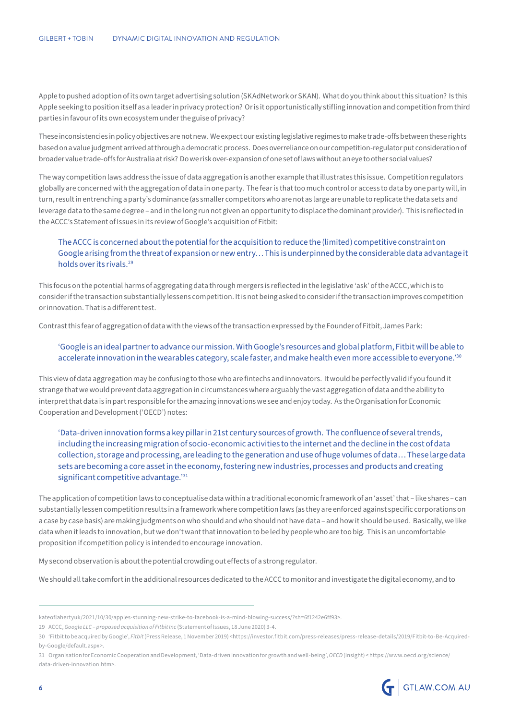Apple to pushed adoption of its own target advertising solution (SKAdNetwork or SKAN). What do you think about this situation? Is this Apple seeking to position itself as a leader in privacy protection? Or is it opportunistically stifling innovation and competition from third parties in favour of its own ecosystem under the guise of privacy?

These inconsistencies in policy objectives are not new. We expect our existing legislative regimes to make trade-offs between these rights based on a value judgment arrived at through a democratic process. Does overreliance on our competition-regulator put consideration of broader value trade-offs for Australia at risk? Do we risk over-expansion of one set of laws without an eye to other social values?

The way competition laws address the issue of data aggregation is another example that illustrates this issue. Competition regulators globally are concerned with the aggregation of data in one party. The fear is that too much control or access to data by one party will, in turn, result in entrenching a party's dominance (as smaller competitors who are not as large are unable to replicate the data sets and leverage data to the same degree – and in the long run not given an opportunity to displace the dominant provider). This is reflected in the ACCC's Statement of Issues in its review of Google's acquisition of Fitbit:

#### The ACCC is concerned about the potential for the acquisition to reduce the (limited) competitive constraint on Google arising from the threat of expansion or new entry… This is underpinned by the considerable data advantage it holds over its rivals.29

This focus on the potential harms of aggregating data through mergers is reflected in the legislative 'ask' of the ACCC, which is to consider if the transaction substantially lessens competition. It is not being asked to consider if the transaction improves competition or innovation. That is a different test.

Contrast this fear of aggregation of data with the views of the transaction expressed by the Founder of Fitbit, James Park:

#### 'Google is an ideal partner to advance our mission. With Google's resources and global platform, Fitbit will be able to accelerate innovation in the wearables category, scale faster, and make health even more accessible to everyone.'30

This view of data aggregation may be confusing to those who are fintechs and innovators. It would be perfectly valid if you found it strange that we would prevent data aggregation in circumstances where arguably the vast aggregation of data and the ability to interpret that data is in part responsible for the amazing innovations we see and enjoy today. As the Organisation for Economic Cooperation and Development ('OECD') notes:

'Data-driven innovation forms a key pillar in 21st century sources of growth. The confluence of several trends, including the increasing migration of socio-economic activities to the internet and the decline in the cost of data collection, storage and processing, are leading to the generation and use of huge volumes of data… These large data sets are becoming a core asset in the economy, fostering new industries, processes and products and creating significant competitive advantage.'31

The application of competition laws to conceptualise data within a traditional economic framework of an 'asset' that – like shares – can substantially lessen competition results in a framework where competition laws (as they are enforced against specific corporations on a case by case basis) are making judgments on who should and who should not have data – and how it should be used. Basically, we like data when it leads to innovation, but we don't want that innovation to be led by people who are too big. This is an uncomfortable proposition if competition policy is intended to encourage innovation.

My second observation is about the potential crowding out effects of a strong regulator.

We should all take comfort in the additional resources dedicated to the ACCC to monitor and investigate the digital economy, and to

<sup>31</sup> Organisation for Economic Cooperation and Development, 'Data-driven innovation for growth and well-being', *OECD* (Insight) < https://www.oecd.org/science/ data-driven-innovation.htm>.



kateoflahertyuk/2021/10/30/apples-stunning-new-strike-to-facebook-is-a-mind-blowing-success/?sh=6f1242e6ff93>.

<sup>29</sup> ACCC, *Google LLC – proposed acquisition of Fitbit Inc* (Statement of Issues, 18 June 2020) 3-4.

<sup>30</sup> 'Fitbit to be acquired by Google', *Fitbit* (Press Release, 1 November 2019) <https://investor.fitbit.com/press-releases/press-release-details/2019/Fitbit-to-Be-Acquiredby-Google/default.aspx>.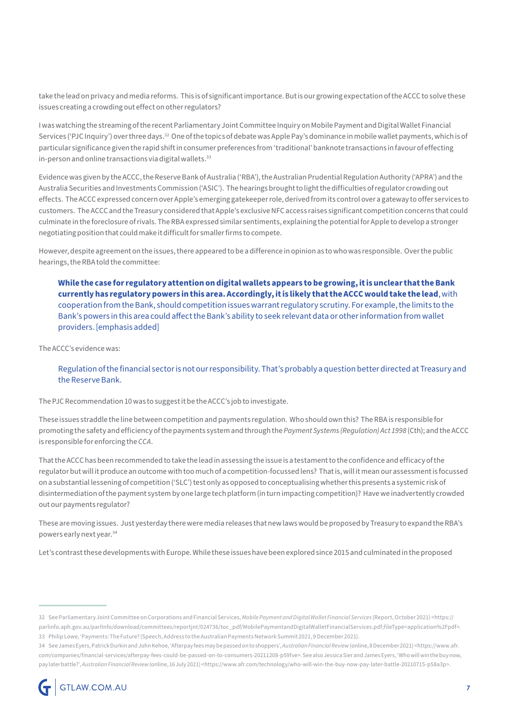take the lead on privacy and media reforms. This is of significant importance. But is our growing expectation of the ACCC to solve these issues creating a crowding out effect on other regulators?

I was watching the streaming of the recent Parliamentary Joint Committee Inquiry on Mobile Payment and Digital Wallet Financial Services ('PJC Inquiry') over three days.<sup>32</sup> One of the topics of debate was Apple Pay's dominance in mobile wallet payments, which is of particular significance given the rapid shift in consumer preferences from 'traditional' banknote transactions in favour of effecting in-person and online transactions via digital wallets.<sup>33</sup>

Evidence was given by the ACCC, the Reserve Bank of Australia ('RBA'), the Australian Prudential Regulation Authority ('APRA') and the Australia Securities and Investments Commission ('ASIC'). The hearings brought to light the difficulties of regulator crowding out effects. The ACCC expressed concern over Apple's emerging gatekeeper role, derived from its control over a gateway to offer services to customers. The ACCC and the Treasury considered that Apple's exclusive NFC access raises significant competition concerns that could culminate in the foreclosure of rivals. The RBA expressed similar sentiments, explaining the potential for Apple to develop a stronger negotiating position that could make it difficult for smaller firms to compete.

However, despite agreement on the issues, there appeared to be a difference in opinion as to who was responsible. Over the public hearings, the RBA told the committee:

**While the case for regulatory attention on digital wallets appears to be growing, it is unclear that the Bank currently has regulatory powers in this area. Accordingly, it is likely that the ACCC would take the lead**, with cooperation from the Bank, should competition issues warrant regulatory scrutiny. For example, the limits to the Bank's powers in this area could affect the Bank's ability to seek relevant data or other information from wallet providers. [emphasis added]

The ACCC's evidence was:

Regulation of the financial sector is not our responsibility. That's probably a question better directed at Treasury and the Reserve Bank.

The PJC Recommendation 10 was to suggest it be the ACCC's job to investigate.

These issues straddle the line between competition and payments regulation. Who should own this? The RBA is responsible for promoting the safety and efficiency of the payments system and through the *Payment Systems (Regulation) Act 1998* (Cth); and the ACCC is responsible for enforcing the *CCA*.

That the ACCC has been recommended to take the lead in assessing the issue is a testament to the confidence and efficacy of the regulator but will it produce an outcome with too much of a competition-focussed lens? That is, will it mean our assessment is focussed on a substantial lessening of competition ('SLC') test only as opposed to conceptualising whether this presents a systemic risk of disintermediation of the payment system by one large tech platform (in turn impacting competition)? Have we inadvertently crowded out our payments regulator?

These are moving issues. Just yesterday there were media releases that new laws would be proposed by Treasury to expand the RBA's powers early next year.34

Let's contrast these developments with Europe. While these issues have been explored since 2015 and culminated in the proposed

<sup>32</sup> See Parliamentary Joint Committee on Corporations and Financial Services, *Mobile Payment and Digital Wallet Financial Services* (Report, October 2021) <https:// parlinfo.aph.gov.au/parlInfo/download/committees/reportjnt/024736/toc\_pdf/MobilePaymentandDigitalWalletFinancialServices.pdf;fileType=application%2Fpdf>. 33 Philip Lowe, 'Payments: The Future? (Speech, Address to the Australian Payments Network Summit 2021, 9 December 2021).

<sup>34</sup> See James Eyers, Patrick Durkin and John Kehoe, 'Afterpay fees may be passed on to shoppers', *Australian Financial Review* (online, 8 December 2021) <https://www.afr. com/companies/financial-services/afterpay-fees-could-be-passed-on-to-consumers-20211208-p59fve>. See also Jessica Sier and James Eyers, 'Who will win the buy now, pay later battle?', *Australian Financial Review* (online, 16 July 2021) <https://www.afr.com/technology/who-will-win-the-buy-now-pay-later-battle-20210715-p58a3p>.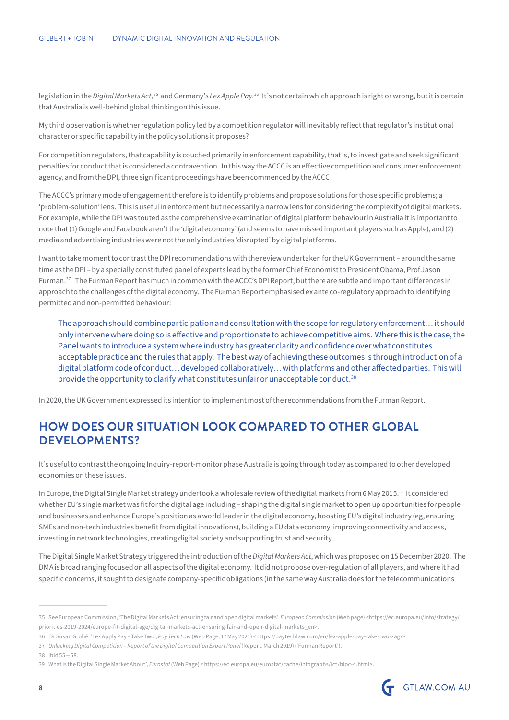legislation in the *Digital Markets Act*,<sup>35</sup> and Germany's *Lex Apple Pay*.<sup>36</sup> It's not certain which approach is right or wrong, but it is certain that Australia is well-behind global thinking on this issue.

My third observation is whether regulation policy led by a competition regulator will inevitably reflect that regulator's institutional character or specific capability in the policy solutions it proposes?

For competition regulators, that capability is couched primarily in enforcement capability, that is, to investigate and seek significant penalties for conduct that is considered a contravention. In this way the ACCC is an effective competition and consumer enforcement agency, and from the DPI, three significant proceedings have been commenced by the ACCC.

The ACCC's primary mode of engagement therefore is to identify problems and propose solutions for those specific problems; a 'problem-solution' lens. This is useful in enforcement but necessarily a narrow lens for considering the complexity of digital markets. For example, while the DPI was touted as the comprehensive examination of digital platform behaviour in Australia it is important to note that (1) Google and Facebook aren't the 'digital economy' (and seems to have missed important players such as Apple), and (2) media and advertising industries were not the only industries 'disrupted' by digital platforms.

I want to take moment to contrast the DPI recommendations with the review undertaken for the UK Government – around the same time as the DPI – by a specially constituted panel of experts lead by the former Chief Economist to President Obama, Prof Jason Furman.37 The Furman Report has much in common with the ACCC's DPI Report, but there are subtle and important differences in approach to the challenges of the digital economy. The Furman Report emphasised ex ante co-regulatory approach to identifying permitted and non-permitted behaviour:

The approach should combine participation and consultation with the scope for regulatory enforcement… it should only intervene where doing so is effective and proportionate to achieve competitive aims. Where this is the case, the Panel wants to introduce a system where industry has greater clarity and confidence over what constitutes acceptable practice and the rules that apply. The best way of achieving these outcomes is through introduction of a digital platform code of conduct… developed collaboratively… with platforms and other affected parties. This will provide the opportunity to clarify what constitutes unfair or unacceptable conduct.38

In 2020, the UK Government expressed its intention to implement most of the recommendations from the Furman Report.

## **HOW DOES OUR SITUATION LOOK COMPARED TO OTHER GLOBAL DEVELOPMENTS?**

It's useful to contrast the ongoing Inquiry-report-monitor phase Australia is going through today as compared to other developed economies on these issues.

In Europe, the Digital Single Market strategy undertook a wholesale review of the digital markets from 6 May 2015.39 It considered whether EU's single market was fit for the digital age including – shaping the digital single market to open up opportunities for people and businesses and enhance Europe's position as a world leader in the digital economy, boosting EU's digital industry (eg, ensuring SMEs and non-tech industries benefit from digital innovations), building a EU data economy, improving connectivity and access, investing in network technologies, creating digital society and supporting trust and security.

The Digital Single Market Strategy triggered the introduction of the *Digital Markets Act*, which was proposed on 15 December 2020. The DMA is broad ranging focused on all aspects of the digital economy. It did not propose over-regulation of all players, and where it had specific concerns, it sought to designate company-specific obligations (in the same way Australia does for the telecommunications

37 *Unlocking Digital Competition – Report of the Digital Competition Expert Panel* (Report, March 2019) ('Furman Report').

38 Ibid 55—58.

<sup>39</sup> What is the Digital Single Market About', *Eurostat* (Web Page) < https://ec.europa.eu/eurostat/cache/infographs/ict/bloc-4.html>.



<sup>35</sup> See European Commission, 'The Digital Markets Act: ensuring fair and open digital markets', *European Commission* (Web page) <https://ec.europa.eu/info/strategy/ priorities-2019-2024/europe-fit-digital-age/digital-markets-act-ensuring-fair-and-open-digital-markets\_en>.

<sup>36</sup> Dr Susan Grohé, 'Lex Apply Pay – Take Two', *Pay Tech Law* (Web Page, 17 May 2021) <https://paytechlaw.com/en/lex-apple-pay-take-two-zag/>.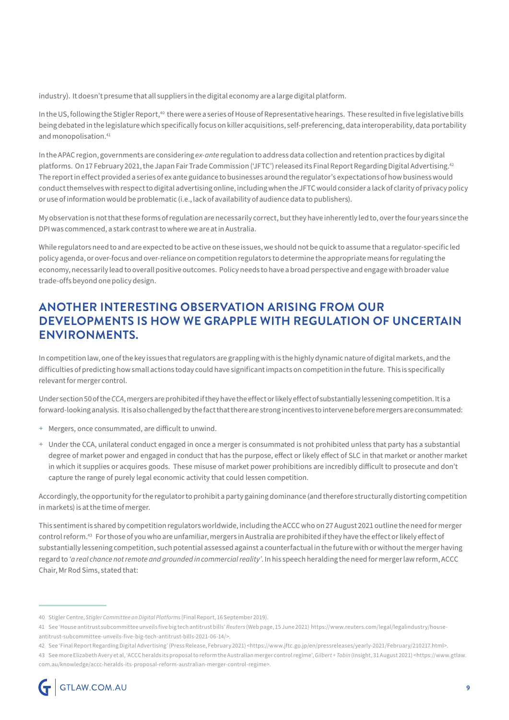industry). It doesn't presume that all suppliers in the digital economy are a large digital platform.

In the US, following the Stigler Report,<sup>40</sup> there were a series of House of Representative hearings. These resulted in five legislative bills being debated in the legislature which specifically focus on killer acquisitions, self-preferencing, data interoperability, data portability and monopolisation.<sup>41</sup>

In the APAC region, governments are considering *ex-ante* regulation to address data collection and retention practices by digital platforms. On 17 February 2021, the Japan Fair Trade Commission ('JFTC') released its Final Report Regarding Digital Advertising.<sup>42</sup> The report in effect provided a series of ex ante guidance to businesses around the regulator's expectations of how business would conduct themselves with respect to digital advertising online, including when the JFTC would consider a lack of clarity of privacy policy or use of information would be problematic (i.e., lack of availability of audience data to publishers).

My observation is not that these forms of regulation are necessarily correct, but they have inherently led to, over the four years since the DPI was commenced, a stark contrast to where we are at in Australia.

While regulators need to and are expected to be active on these issues, we should not be quick to assume that a regulator-specific led policy agenda, or over-focus and over-reliance on competition regulators to determine the appropriate means for regulating the economy, necessarily lead to overall positive outcomes. Policy needs to have a broad perspective and engage with broader value trade-offs beyond one policy design.

## **ANOTHER INTERESTING OBSERVATION ARISING FROM OUR DEVELOPMENTS IS HOW WE GRAPPLE WITH REGULATION OF UNCERTAIN ENVIRONMENTS.**

In competition law, one of the key issues that regulators are grappling with is the highly dynamic nature of digital markets, and the difficulties of predicting how small actions today could have significant impacts on competition in the future. This is specifically relevant for merger control.

Under section 50 of the *CCA*, mergers are prohibited if they have the effect or likely effect of substantially lessening competition. It is a forward-looking analysis. It is also challenged by the fact that there are strong incentives to intervene before mergers are consummated:

- + Mergers, once consummated, are difficult to unwind.
- + Under the CCA, unilateral conduct engaged in once a merger is consummated is not prohibited unless that party has a substantial degree of market power and engaged in conduct that has the purpose, effect or likely effect of SLC in that market or another market in which it supplies or acquires goods. These misuse of market power prohibitions are incredibly difficult to prosecute and don't capture the range of purely legal economic activity that could lessen competition.

Accordingly, the opportunity for the regulator to prohibit a party gaining dominance (and therefore structurally distorting competition in markets) is at the time of merger.

This sentiment is shared by competition regulators worldwide, including the ACCC who on 27 August 2021 outline the need for merger control reform.43 For those of you who are unfamiliar, mergers in Australia are prohibited if they have the effect or likely effect of substantially lessening competition, such potential assessed against a counterfactual in the future with or without the merger having regard to *'a real chance not remote and grounded in commercial reality'*. In his speech heralding the need for merger law reform, ACCC Chair, Mr Rod Sims, stated that:

42 See 'Final Report Regarding Digital Advertising' (Press Release, February 2021) <https://www.jftc.go.jp/en/pressreleases/yearly-2021/February/210217.html>.

<sup>40</sup> Stigler Centre, *Stigler Committee on Digital Platforms* (Final Report, 16 September 2019).

<sup>41</sup> See 'House antitrust subcommittee unveils five big tech antitrust bills' *Reuters* (Web page, 15 June 2021) https://www.reuters.com/legal/legalindustry/houseantitrust-subcommittee-unveils-five-big-tech-antitrust-bills-2021-06-14/>.

<sup>43</sup> See more Elizabeth Avery et al, 'ACCC heralds its proposal to reform the Australian merger control regime', *Gilbert + Tobin* (Insight, 31 August 2021) <https://www.gtlaw. com.au/knowledge/accc-heralds-its-proposal-reform-australian-merger-control-regime>.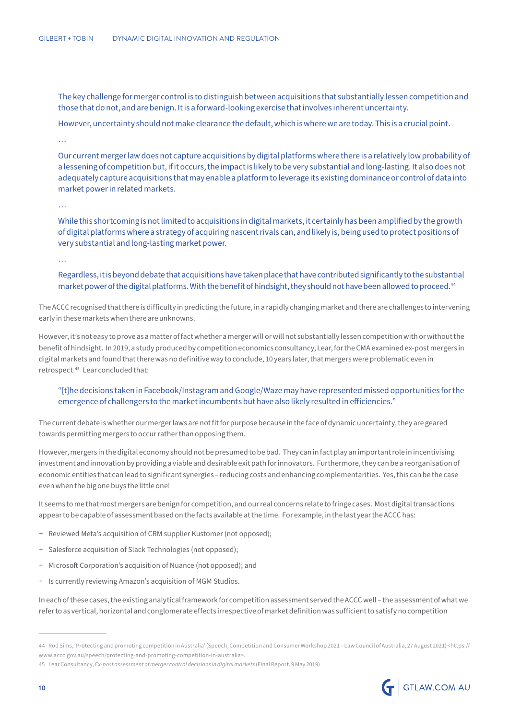The key challenge for merger control is to distinguish between acquisitions that substantially lessen competition and those that do not, and are benign. It is a forward-looking exercise that involves inherent uncertainty.

However, uncertainty should not make clearance the default, which is where we are today. This is a crucial point.

…

Our current merger law does not capture acquisitions by digital platforms where there is a relatively low probability of a lessening of competition but, if it occurs, the impact is likely to be very substantial and long-lasting. It also does not adequately capture acquisitions that may enable a platform to leverage its existing dominance or control of data into market power in related markets.

…

While this shortcoming is not limited to acquisitions in digital markets, it certainly has been amplified by the growth of digital platforms where a strategy of acquiring nascent rivals can, and likely is, being used to protect positions of very substantial and long-lasting market power.

…

Regardless, it is beyond debate that acquisitions have taken place that have contributed significantly to the substantial market power of the digital platforms. With the benefit of hindsight, they should not have been allowed to proceed.<sup>44</sup>

The ACCC recognised that there is difficulty in predicting the future, in a rapidly changing market and there are challenges to intervening early in these markets when there are unknowns.

However, it's not easy to prove as a matter of fact whether a merger will or will not substantially lessen competition with or without the benefit of hindsight. In 2019, a study produced by competition economics consultancy, Lear, for the CMA examined ex-post mergers in digital markets and found that there was no definitive way to conclude, 10 years later, that mergers were problematic even in retrospect.45 Lear concluded that:

#### "[t]he decisions taken in Facebook/Instagram and Google/Waze may have represented missed opportunities for the emergence of challengers to the market incumbents but have also likely resulted in efficiencies."

The current debate is whether our merger laws are not fit for purpose because in the face of dynamic uncertainty, they are geared towards permitting mergers to occur rather than opposing them.

However, mergers in the digital economy should not be presumed to be bad. They can in fact play an important role in incentivising investment and innovation by providing a viable and desirable exit path for innovators. Furthermore, they can be a reorganisation of economic entities that can lead to significant synergies – reducing costs and enhancing complementarities. Yes, this can be the case even when the big one buys the little one!

It seems to me that most mergers are benign for competition, and our real concerns relate to fringe cases. Most digital transactions appear to be capable of assessment based on the facts available at the time. For example, in the last year the ACCC has:

- + Reviewed Meta's acquisition of CRM supplier Kustomer (not opposed);
- + Salesforce acquisition of Slack Technologies (not opposed);
- + Microsoft Corporation's acquisition of Nuance (not opposed); and
- + Is currently reviewing Amazon's acquisition of MGM Studios.

In each of these cases, the existing analytical framework for competition assessment served the ACCC well – the assessment of what we refer to as vertical, horizontal and conglomerate effects irrespective of market definition was sufficient to satisfy no competition



<sup>44</sup> Rod Sims, 'Protecting and promoting competition in Australia' (Speech, Competition and Consumer Workshop 2021 – Law Council of Australia, 27 August 2021) <https:// www.accc.gov.au/speech/protecting-and-promoting-competition-in-australia>.

<sup>45</sup> Lear Consultancy, *Ex-post assessment of merger control decisions in digital markets* (Final Report, 9 May 2019)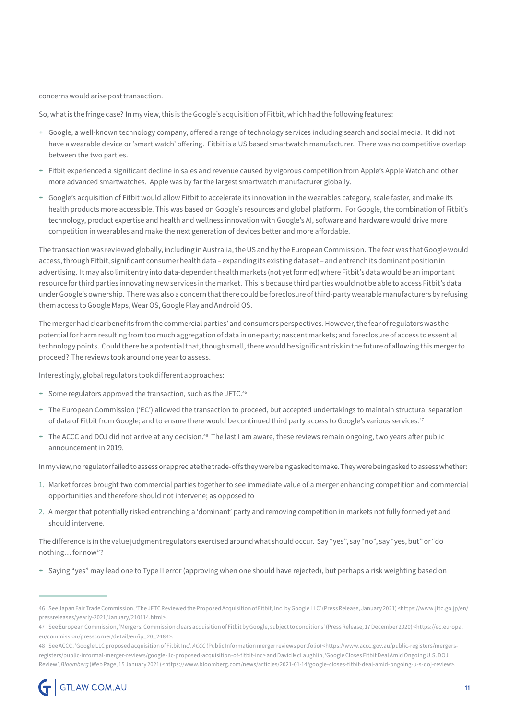concerns would arise post transaction.

So, what is the fringe case? In my view, this is the Google's acquisition of Fitbit, which had the following features:

- + Google, a well-known technology company, offered a range of technology services including search and social media. It did not have a wearable device or 'smart watch' offering. Fitbit is a US based smartwatch manufacturer. There was no competitive overlap between the two parties.
- + Fitbit experienced a significant decline in sales and revenue caused by vigorous competition from Apple's Apple Watch and other more advanced smartwatches. Apple was by far the largest smartwatch manufacturer globally.
- + Google's acquisition of Fitbit would allow Fitbit to accelerate its innovation in the wearables category, scale faster, and make its health products more accessible. This was based on Google's resources and global platform. For Google, the combination of Fitbit's technology, product expertise and health and wellness innovation with Google's AI, software and hardware would drive more competition in wearables and make the next generation of devices better and more affordable.

The transaction was reviewed globally, including in Australia, the US and by the European Commission. The fear was that Google would access, through Fitbit, significant consumer health data – expanding its existing data set – and entrench its dominant position in advertising. It may also limit entry into data-dependent health markets (not yet formed) where Fitbit's data would be an important resource for third parties innovating new services in the market. This is because third parties would not be able to access Fitbit's data under Google's ownership. There was also a concern that there could be foreclosure of third-party wearable manufacturers by refusing them access to Google Maps, Wear OS, Google Play and Android OS.

The merger had clear benefits from the commercial parties' and consumers perspectives. However, the fear of regulators was the potential for harm resulting from too much aggregation of data in one party; nascent markets; and foreclosure of access to essential technology points. Could there be a potential that, though small, there would be significant risk in the future of allowing this merger to proceed? The reviews took around one year to assess.

Interestingly, global regulators took different approaches:

- + Some regulators approved the transaction, such as the JFTC.46
- + The European Commission ('EC') allowed the transaction to proceed, but accepted undertakings to maintain structural separation of data of Fitbit from Google; and to ensure there would be continued third party access to Google's various services.<sup>47</sup>
- + The ACCC and DOJ did not arrive at any decision.<sup>48</sup> The last I am aware, these reviews remain ongoing, two years after public announcement in 2019.

In my view, no regulator failed to assess or appreciate the trade-offs they were being asked to make. They were being asked to assess whether:

- 1. Market forces brought two commercial parties together to see immediate value of a merger enhancing competition and commercial opportunities and therefore should not intervene; as opposed to
- 2. A merger that potentially risked entrenching a 'dominant' party and removing competition in markets not fully formed yet and should intervene.

The difference is in the value judgment regulators exercised around what should occur. Say "yes", say "no", say "yes, but" or "do nothing… for now"?

+ Saying "yes" may lead one to Type II error (approving when one should have rejected), but perhaps a risk weighting based on

<sup>46</sup> See Japan Fair Trade Commission, 'The JFTC Reviewed the Proposed Acquisition of Fitbit, Inc. by Google LLC' (Press Release, January 2021) <https://www.jftc.go.jp/en/ pressreleases/yearly-2021/January/210114.html>.

<sup>47</sup> See European Commission, 'Mergers: Commission clears acquisition of Fitbit by Google, subject to conditions' (Press Release, 17 December 2020) <https://ec.europa. eu/commission/presscorner/detail/en/ip\_20\_2484>.

<sup>48</sup> See ACCC, 'Google LLC proposed acquisition of Fitbit Inc', *ACCC* (Public Information merger reviews portfolio) <https://www.accc.gov.au/public-registers/mergersregisters/public-informal-merger-reviews/google-llc-proposed-acquisition-of-fitbit-inc> and David McLaughlin, 'Google Closes Fitbit Deal Amid Ongoing U.S. DOJ Review', Bloomberg (Web Page, 15 January 2021) <https://www.bloomberg.com/news/articles/2021-01-14/google-closes-fitbit-deal-amid-ongoing-u-s-doj-review>.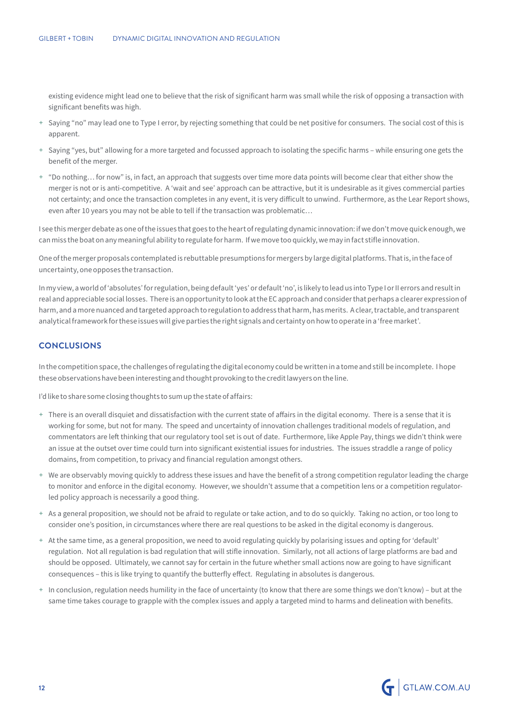existing evidence might lead one to believe that the risk of significant harm was small while the risk of opposing a transaction with significant benefits was high.

- + Saying "no" may lead one to Type I error, by rejecting something that could be net positive for consumers. The social cost of this is apparent.
- + Saying "yes, but" allowing for a more targeted and focussed approach to isolating the specific harms while ensuring one gets the benefit of the merger.
- + "Do nothing… for now" is, in fact, an approach that suggests over time more data points will become clear that either show the merger is not or is anti-competitive. A 'wait and see' approach can be attractive, but it is undesirable as it gives commercial parties not certainty; and once the transaction completes in any event, it is very difficult to unwind. Furthermore, as the Lear Report shows, even after 10 years you may not be able to tell if the transaction was problematic…

I see this merger debate as one of the issues that goes to the heart of regulating dynamic innovation: if we don't move quick enough, we can miss the boat on any meaningful ability to regulate for harm. If we move too quickly, we may in fact stifle innovation.

One of the merger proposals contemplated is rebuttable presumptions for mergers by large digital platforms. That is, in the face of uncertainty, one opposes the transaction.

In my view, a world of 'absolutes' for regulation, being default 'yes' or default 'no', is likely to lead us into Type I or II errors and result in real and appreciable social losses. There is an opportunity to look at the EC approach and consider that perhaps a clearer expression of harm, and a more nuanced and targeted approach to regulation to address that harm, has merits. A clear, tractable, and transparent analytical framework for these issues will give parties the right signals and certainty on how to operate in a 'free market'.

#### **CONCLUSIONS**

In the competition space, the challenges of regulating the digital economy could be written in a tome and still be incomplete. I hope these observations have been interesting and thought provoking to the credit lawyers on the line.

I'd like to share some closing thoughts to sum up the state of affairs:

- + There is an overall disquiet and dissatisfaction with the current state of affairs in the digital economy. There is a sense that it is working for some, but not for many. The speed and uncertainty of innovation challenges traditional models of regulation, and commentators are left thinking that our regulatory tool set is out of date. Furthermore, like Apple Pay, things we didn't think were an issue at the outset over time could turn into significant existential issues for industries. The issues straddle a range of policy domains, from competition, to privacy and financial regulation amongst others.
- + We are observably moving quickly to address these issues and have the benefit of a strong competition regulator leading the charge to monitor and enforce in the digital economy. However, we shouldn't assume that a competition lens or a competition regulatorled policy approach is necessarily a good thing.
- + As a general proposition, we should not be afraid to regulate or take action, and to do so quickly. Taking no action, or too long to consider one's position, in circumstances where there are real questions to be asked in the digital economy is dangerous.
- + At the same time, as a general proposition, we need to avoid regulating quickly by polarising issues and opting for 'default' regulation. Not all regulation is bad regulation that will stifle innovation. Similarly, not all actions of large platforms are bad and should be opposed. Ultimately, we cannot say for certain in the future whether small actions now are going to have significant consequences – this is like trying to quantify the butterfly effect. Regulating in absolutes is dangerous.
- + In conclusion, regulation needs humility in the face of uncertainty (to know that there are some things we don't know) but at the same time takes courage to grapple with the complex issues and apply a targeted mind to harms and delineation with benefits.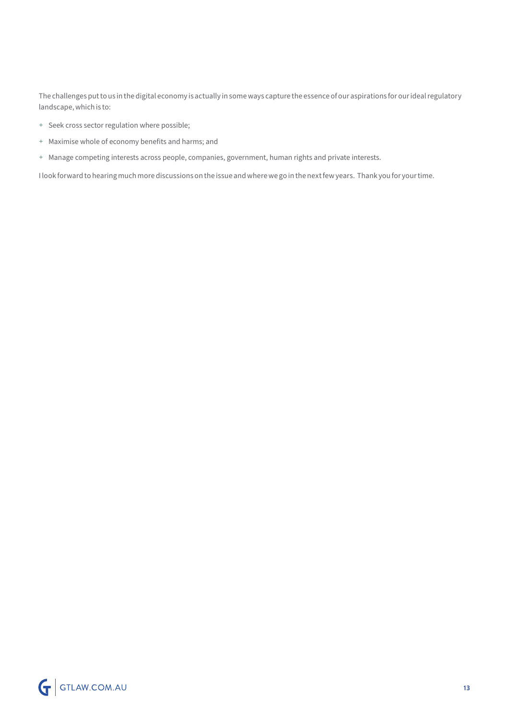The challenges put to us in the digital economy is actually in some ways capture the essence of our aspirations for our ideal regulatory landscape, which is to:

- + Seek cross sector regulation where possible;
- + Maximise whole of economy benefits and harms; and
- + Manage competing interests across people, companies, government, human rights and private interests.

I look forward to hearing much more discussions on the issue and where we go in the next few years. Thank you for your time.